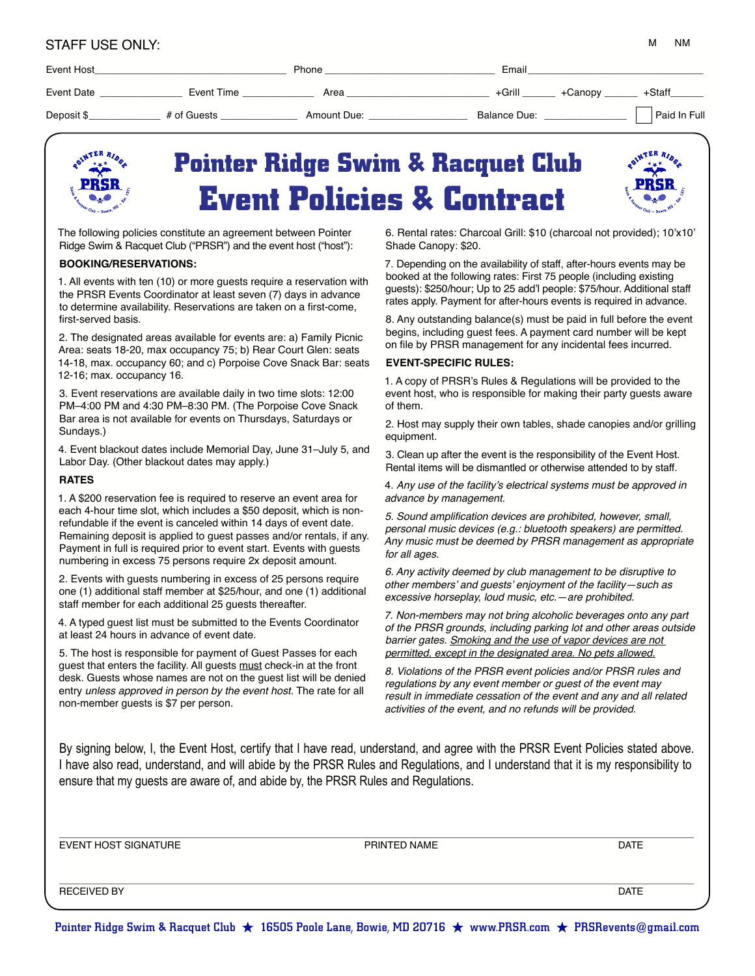| <b>STAFF USE ONLY:</b> |  |
|------------------------|--|
|------------------------|--|

| ΝM |
|----|
|    |

| Event Host |             | Phone       | Email             |              |  |
|------------|-------------|-------------|-------------------|--------------|--|
| Event Date | Event Time  | Area        | +Grill<br>+Canopy | +Staff       |  |
| Deposit \$ | # of Guests | Amount Due: | Balance Due:      | Paid In Full |  |
|            |             |             |                   |              |  |



# **Pointer Ridge Swim & Racquet Club Event Policies & Contract**



The following policies constitute an agreement between Pointer Ridge Swim & Racquet Club ("PRSR") and the event host ("host"):

#### **BOOKING/RESERVATIONS:**

1. All events with ten (10) or more guests require a reservation with the PRSR Events Coordinator at least seven (7) days in advance to determine availability. Reservations are taken on a first-come, first-served basis.

2. The designated areas available for events are: a) Family Picnic Area: seats 18-20, max occupancy 75; b) Rear Court Glen: seats 14-18, max. occupancy 60; and c) Porpoise Cove Snack Bar: seats 12-16; max. occupancy 16.

3. Event reservations are available daily in two time slots: 12:00 PM–4:00 PM and 4:30 PM–8:30 PM. (The Porpoise Cove Snack Bar area is not available for events on Thursdays, Saturdays or Sundays.)

4. Event blackout dates include Memorial Day, June 31–July 5, and Labor Day. (Other blackout dates may apply.)

#### **RATES**

1. A \$200 reservation fee is required to reserve an event area for each 4-hour time slot, which includes a \$50 deposit, which is nonrefundable if the event is canceled within 14 days of event date. Remaining deposit is applied to guest passes and/or rentals, if any. Payment in full is required prior to event start. Events with guests numbering in excess 75 persons require 2x deposit amount.

2. Events with guests numbering in excess of 25 persons require one (1) additional staff member at \$25/hour, and one (1) additional staff member for each additional 25 guests thereafter.

4. A typed guest list must be submitted to the Events Coordinator at least 24 hours in advance of event date.

5. The host is responsible for payment of Guest Passes for each guest that enters the facility. All guests must check-in at the front desk. Guests whose names are not on the guest list will be denied entry *unless approved in person by the event host.* The rate for all non-member guests is \$7 per person.

6. Rental rates: Charcoal Grill: \$10 (charcoal not provided); 10'x10' Shade Canopy: \$20.

7. Depending on the availability of staff, after-hours events may be booked at the following rates: First 75 people (including existing guests): \$250/hour; Up to 25 add'l people: \$75/hour. Additional staff rates apply. Payment for after-hours events is required in advance.

8. Any outstanding balance(s) must be paid in full before the event begins, including guest fees. A payment card number will be kept on file by PRSR management for any incidental fees incurred.

#### **EVENT-SPECIFIC RULES:**

1. A copy of PRSR's Rules & Regulations will be provided to the event host, who is responsible for making their party guests aware of them.

2. Host may supply their own tables, shade canopies and/or grilling equipment.

3. Clean up after the event is the responsibility of the Event Host. Rental items will be dismantled or otherwise attended to by staff.

4. Any use of the facility's electrical systems must be approved in advance by management.

5. Sound amplification devices are prohibited, however, small, personal music devices (e.g.: bluetooth speakers) are permitted. Any music must be deemed by PRSR management as appropriate for all ages.

6. Any activity deemed by club management to be disruptive to other members' and guests' enjoyment of the facility—such as excessive horseplay, loud music, etc.—are prohibited.

7. Non-members may not bring alcoholic beverages onto any part of the PRSR grounds, including parking lot and other areas outside barrier gates. Smoking and the use of vapor devices are not permitted, except in the designated area. No pets allowed.

8. Violations of the PRSR event policies and/or PRSR rules and regulations by any event member or guest of the event may result in immediate cessation of the event and any and all related activities of the event, and no refunds will be provided.

By signing below, I, the Event Host, certify that I have read, understand, and agree with the PRSR Event Policies stated above. I have also read, understand, and will abide by the PRSR Rules and Regulations, and I understand that it is my responsibility to ensure that my guests are aware of, and abide by, the PRSR Rules and Regulations.

| EVENT HOST SIGNATURE | PRINTED NAME | DATE        |
|----------------------|--------------|-------------|
|                      |              |             |
|                      |              |             |
|                      |              |             |
| <b>RECEIVED BY</b>   |              | <b>DATE</b> |
|                      |              |             |

Pointer Ridge Swim & Racquet Club  $\star$  16505 Poole Lane, Bowie, MD 20716  $\star$  www.PRSR.com  $\star$  PRSRevents@gmail.com